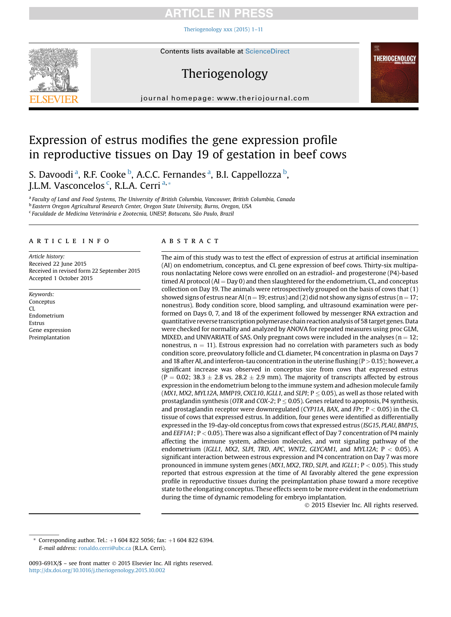# **CIL**

[Theriogenology xxx \(2015\) 1](http://dx.doi.org/10.1016/j.theriogenology.2015.10.002)–11



# Theriogenology

journal homepage: [www.theriojournal.com](http://www.theriojournal.com)

# Expression of estrus modifies the gene expression profile in reproductive tissues on Day 19 of gestation in beef cows

S. Davoodi<sup>a</sup>, R.F. Cooke <sup>b</sup>, A.C.C. Fernandes <sup>a</sup>, B.I. Cappellozza <sup>b</sup>, J.L.M. Vasconcelos <sup>c</sup>, R.L.A. Cerri <sup>a, \*</sup>

<sup>a</sup> Faculty of Land and Food Systems, The University of British Columbia, Vancouver, British Columbia, Canada <sup>b</sup> Eastern Oregon Agricultural Research Center, Oregon State University, Burns, Oregon, USA <sup>c</sup> Faculdade de Medicina Veterinária e Zootecnia, UNESP, Botucatu, São Paulo, Brazil

# article info

Article history: Received 22 June 2015 Received in revised form 22 September 2015 Accepted 1 October 2015

Keywords: Conceptus CL Endometrium Estrus Gene expression Preimplantation

# **ABSTRACT**

The aim of this study was to test the effect of expression of estrus at artificial insemination (AI) on endometrium, conceptus, and CL gene expression of beef cows. Thirty-six multiparous nonlactating Nelore cows were enrolled on an estradiol- and progesterone (P4)-based timed AI protocol ( $AI = Day 0$ ) and then slaughtered for the endometrium, CL, and conceptus collection on Day 19. The animals were retrospectively grouped on the basis of cows that (1) showed signs of estrus near AI (n = 19; estrus) and (2) did not show any signs of estrus (n = 17; nonestrus). Body condition score, blood sampling, and ultrasound examination were performed on Days 0, 7, and 18 of the experiment followed by messenger RNA extraction and quantitative reverse transcription polymerase chain reaction analysis of 58 target genes. Data were checked for normality and analyzed by ANOVA for repeated measures using proc GLM, MIXED, and UNIVARIATE of SAS. Only pregnant cows were included in the analyses ( $n = 12$ ; nonestrus,  $n = 11$ ). Estrous expression had no correlation with parameters such as body condition score, preovulatory follicle and CL diameter, P4 concentration in plasma on Days 7 and 18 after AI, and interferon-tau concentration in the uterine flushing  $(P > 0.15)$ ; however, a significant increase was observed in conceptus size from cows that expressed estrus  $(P = 0.02; 38.3 \pm 2.8$  vs. 28.2  $\pm$  2.9 mm). The majority of transcripts affected by estrous expression in the endometrium belong to the immune system and adhesion molecule family (MX1, MX2, MYL12A, MMP19, CXCL10, IGLL1, and SLPI;  $P \le 0.05$ ), as well as those related with prostaglandin synthesis (OTR and COX-2;  $P \le 0.05$ ). Genes related to apoptosis, P4 synthesis, and prostaglandin receptor were downregulated (CYP11A, BAX, and FPr;  $P < 0.05$ ) in the CL tissue of cows that expressed estrus. In addition, four genes were identified as differentially expressed in the 19-day-old conceptus from cows that expressed estrus (ISG15, PLAU, BMP15, and EEF1A1; P < 0.05). There was also a significant effect of Day 7 concentration of P4 mainly affecting the immune system, adhesion molecules, and wnt signaling pathway of the endometrium (IGLL1, MX2, SLPI, TRD, APC, WNT2, GLYCAM1, and MYL12A;  $P < 0.05$ ). A significant interaction between estrous expression and P4 concentration on Day 7 was more pronounced in immune system genes ( $MX1, MX2,TRD, SLPI$ , and  $IGLL1$ ;  $P < 0.05$ ). This study reported that estrous expression at the time of AI favorably altered the gene expression profile in reproductive tissues during the preimplantation phase toward a more receptive state to the elongating conceptus. These effects seem to be more evident in the endometrium during the time of dynamic remodeling for embryo implantation.

2015 Elsevier Inc. All rights reserved.

#869

**THERIOGENOLOGY** 

罂

Corresponding author. Tel.:  $+1$  604 822 5056; fax:  $+1$  604 822 6394. E-mail address: [ronaldo.cerri@ubc.ca](mailto:ronaldo.cerri@ubc.ca) (R.L.A. Cerri).

<sup>0093-691</sup>X/\$ - see front matter © 2015 Elsevier Inc. All rights reserved. <http://dx.doi.org/10.1016/j.theriogenology.2015.10.002>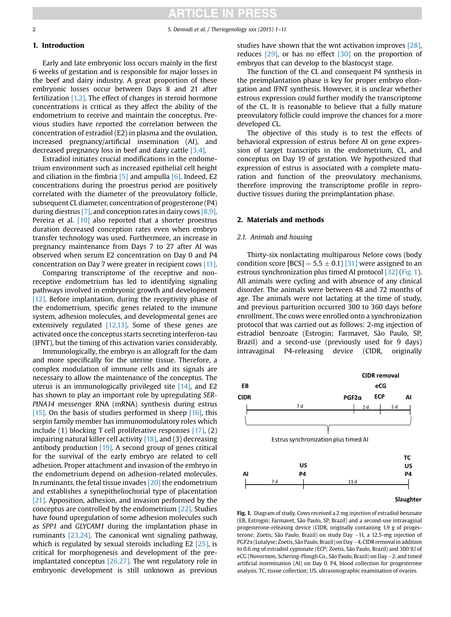# 1. Introduction

Early and late embryonic loss occurs mainly in the first 6 weeks of gestation and is responsible for major losses in the beef and dairy industry. A great proportion of these embryonic losses occur between Days 8 and 21 after fertilization  $[1,2]$ . The effect of changes in steroid hormone concentrations is critical as they affect the ability of the endometrium to receive and maintain the conceptus. Previous studies have reported the correlation between the concentration of estradiol (E2) in plasma and the ovulation, increased pregnancy/artificial insemination (AI), and decreased pregnancy loss in beef and dairy cattle [\[3,4\]](#page-9-0).

Estradiol initiates crucial modifications in the endometrium environment such as increased epithelial cell height and ciliation in the fimbria  $\overline{5}$  and ampulla  $\overline{6}$ . Indeed, E2 concentrations during the proestrus period are positively correlated with the diameter of the preovulatory follicle, subsequent CL diameter, concentration of progesterone (P4) during diestrus [\[7\]](#page-9-0), and conception rates in dairy cows  $[8,9]$ . Pereira et al. [\[10\]](#page-9-0) also reported that a shorter proestrus duration decreased conception rates even when embryo transfer technology was used. Furthermore, an increase in pregnancy maintenance from Days 7 to 27 after AI was observed when serum E2 concentration on Day 0 and P4 concentration on Day 7 were greater in recipient cows [\[11\]](#page-9-0).

Comparing transcriptome of the receptive and nonreceptive endometrium has led to identifying signaling pathways involved in embryonic growth and development [\[12\]](#page-9-0). Before implantation, during the receptivity phase of the endometrium, specific genes related to the immune system, adhesion molecules, and developmental genes are extensively regulated [\[12,13\]](#page-9-0). Some of these genes are activated once the conceptus starts secreting interferon-tau (IFNT), but the timing of this activation varies considerably.

Immunologically, the embryo is an allograft for the dam and more specifically for the uterine tissue. Therefore, a complex modulation of immune cells and its signals are necessary to allow the maintenance of the conceptus. The uterus is an immunologically privileged site [\[14\],](#page-9-0) and E2 has shown to play an important role by upregulating SER-PINA14 messenger RNA (mRNA) synthesis during estrus [\[15\].](#page-9-0) On the basis of studies performed in sheep  $[16]$ , this serpin family member has immunomodulatory roles which include (1) blocking T cell proliferative responses [\[17\],](#page-9-0) (2) impairing natural killer cell activity  $[18]$ , and  $(3)$  decreasing antibody production [\[19\]](#page-9-0). A second group of genes critical for the survival of the early embryo are related to cell adhesion. Proper attachment and invasion of the embryo in the endometrium depend on adhesion-related molecules. In ruminants, the fetal tissue invades [\[20\]](#page-9-0) the endometrium and establishes a synepitheliochorial type of placentation [\[21\]](#page-9-0). Apposition, adhesion, and invasion performed by the conceptus are controlled by the endometrium [\[22\].](#page-9-0) Studies have found upregulation of some adhesion molecules such as SPP1 and GLYCAM1 during the implantation phase in ruminants [\[23,24\]](#page-9-0). The canonical wnt signaling pathway, which is regulated by sexual steroids including E2 [\[25\]](#page-9-0), is critical for morphogenesis and development of the preimplantated conceptus [\[26,27\].](#page-9-0) The wnt regulatory role in embryonic development is still unknown as previous

studies have shown that the wnt activation improves [\[28\]](#page-9-0), reduces [\[29\]](#page-9-0), or has no effect [\[30\]](#page-9-0) on the proportion of embryos that can develop to the blastocyst stage.

The function of the CL and consequent P4 synthesis in the preimplantation phase is key for proper embryo elongation and IFNT synthesis. However, it is unclear whether estrous expression could further modify the transcriptome of the CL. It is reasonable to believe that a fully mature preovulatory follicle could improve the chances for a more developed CL.

The objective of this study is to test the effects of behavioral expression of estrus before AI on gene expression of target transcripts in the endometrium, CL, and conceptus on Day 19 of gestation. We hypothesized that expression of estrus is associated with a complete maturation and function of the preovulatory mechanisms, therefore improving the transcriptome profile in reproductive tissues during the preimplantation phase.

#### 2. Materials and methods

# 2.1. Animals and housing

Thirty-six nonlactating multiparous Nelore cows (body condition score  $[BCS] = 5.5 \pm 0.1$   $[31]$  were assigned to an estrous synchronization plus timed AI protocol [\[32\]](#page-9-0) (Fig. 1). All animals were cycling and with absence of any clinical disorder. The animals were between 48 and 72 months of age. The animals were not lactating at the time of study, and previous parturition occurred 300 to 360 days before enrollment. The cows were enrolled onto a synchronization protocol that was carried out as follows: 2-mg injection of estradiol benzoate (Estrogin; Farmavet, São Paulo, SP, Brazil) and a second-use (previously used for 9 days) intravaginal P4-releasing device (CIDR, originally



Fig. 1. Diagram of study. Cows received a 2 mg injection of estradiol benzoate (EB, Estrogin; Farmavet, São Paulo, SP, Brazil) and a second-use intravaginal progesterone-releasing device (CIDR, originally containing 1.9 g of progesterone; Zoetis, São Paulo, Brazil) on study Day -11, a 12.5-mg injection of PGF2a (Lutalyse; Zoetis, São Paulo, Brazil) on Day4, CIDR removal in addition to 0.6 mg of estradiol cypionate (ECP; Zoetis, São Paulo, Brazil) and 300 IU of eCG (Novormon, Schering-Plough Co., São Paulo, Brazil) on Day -2, and timed artificial insemination (AI) on Day 0. P4, blood collection for progesterone analysis, TC, tissue collection; US, ultrasonographic examination of ovaries.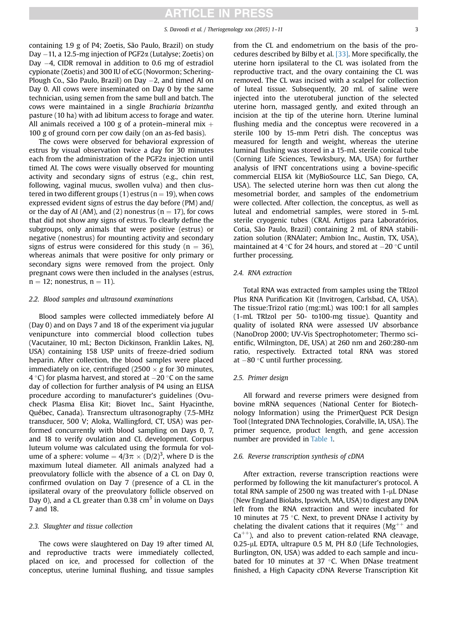containing 1.9 g of P4; Zoetis, São Paulo, Brazil) on study Day  $-11$ , a 12.5-mg injection of PGF2 $\alpha$  (Lutalyse; Zoetis) on Day  $-4$ , CIDR removal in addition to 0.6 mg of estradiol cypionate (Zoetis) and 300 IU of eCG (Novormon; Schering-Plough Co., São Paulo, Brazil) on Day  $-2$ , and timed AI on Day 0. All cows were inseminated on Day 0 by the same technician, using semen from the same bull and batch. The cows were maintained in a single Brachiaria brizantha pasture (10 ha) with ad libitum access to forage and water. All animals received a 100 g of a protein–mineral mix  $+$ 100 g of ground corn per cow daily (on an as-fed basis).

The cows were observed for behavioral expression of estrus by visual observation twice a day for 30 minutes each from the administration of the  $PGF2\alpha$  injection until timed AI. The cows were visually observed for mounting activity and secondary signs of estrus (e.g., chin rest, following, vaginal mucus, swollen vulva) and then clustered in two different groups (1) estrus ( $n = 19$ ), when cows expressed evident signs of estrus the day before (PM) and/ or the day of AI (AM), and (2) nonestrus ( $n = 17$ ), for cows that did not show any signs of estrus. To clearly define the subgroups, only animals that were positive (estrus) or negative (nonestrus) for mounting activity and secondary signs of estrus were considered for this study ( $n = 36$ ), whereas animals that were positive for only primary or secondary signs were removed from the project. Only pregnant cows were then included in the analyses (estrus,  $n = 12$ ; nonestrus,  $n = 11$ ).

#### 2.2. Blood samples and ultrasound examinations

Blood samples were collected immediately before AI (Day 0) and on Days 7 and 18 of the experiment via jugular venipuncture into commercial blood collection tubes (Vacutainer, 10 mL; Becton Dickinson, Franklin Lakes, NJ, USA) containing 158 USP units of freeze-dried sodium heparin. After collection, the blood samples were placed immediately on ice, centrifuged (2500  $\times$  g for 30 minutes, 4 °C) for plasma harvest, and stored at  $-20$  °C on the same day of collection for further analysis of P4 using an ELISA procedure according to manufacturer's guidelines (Ovucheck Plasma Elisa Kit; Biovet Inc., Saint Hyacinthe, Québec, Canada). Transrectum ultrasonography (7.5-MHz transducer, 500 V; Aloka, Wallingford, CT, USA) was performed concurrently with blood sampling on Days 0, 7, and 18 to verify ovulation and CL development. Corpus luteum volume was calculated using the formula for volume of a sphere: volume =  $4/3\pi \times (D/2)^3$ , where D is the maximum luteal diameter. All animals analyzed had a preovulatory follicle with the absence of a CL on Day 0, confirmed ovulation on Day 7 (presence of a CL in the ipsilateral ovary of the preovulatory follicle observed on Day 0), and a CL greater than 0.38  $\text{cm}^3$  in volume on Days 7 and 18.

## 2.3. Slaughter and tissue collection

The cows were slaughtered on Day 19 after timed AI, and reproductive tracts were immediately collected, placed on ice, and processed for collection of the conceptus, uterine luminal flushing, and tissue samples from the CL and endometrium on the basis of the procedures described by Bilby et al. [\[33\]](#page-9-0). More specifically, the uterine horn ipsilateral to the CL was isolated from the reproductive tract, and the ovary containing the CL was removed. The CL was incised with a scalpel for collection of luteal tissue. Subsequently, 20 mL of saline were injected into the uterotuberal junction of the selected uterine horn, massaged gently, and exited through an incision at the tip of the uterine horn. Uterine luminal flushing media and the conceptus were recovered in a sterile 100 by 15-mm Petri dish. The conceptus was measured for length and weight, whereas the uterine luminal flushing was stored in a 15-mL sterile conical tube (Corning Life Sciences, Tewksbury, MA, USA) for further analysis of IFNT concentrations using a bovine-specific commercial ELISA kit (MyBioSource LLC, San Diego, CA, USA). The selected uterine horn was then cut along the mesometrial border, and samples of the endometrium were collected. After collection, the conceptus, as well as luteal and endometrial samples, were stored in 5-mL sterile cryogenic tubes (CRAL Artigos para Laboratórios, Cotia, São Paulo, Brazil) containing 2 mL of RNA stabilization solution (RNAlater; Ambion Inc., Austin, TX, USA), maintained at 4 °C for 24 hours, and stored at  $-20$  °C until further processing.

#### 2.4. RNA extraction

Total RNA was extracted from samples using the TRIzol Plus RNA Purification Kit (Invitrogen, Carlsbad, CA, USA). The tissue:Trizol ratio (mg:mL) was 100:1 for all samples (1-mL TRIzol per 50- to100-mg tissue). Quantity and quality of isolated RNA were assessed UV absorbance (NanoDrop 2000; UV-Vis Spectrophotometer; Thermo scientific, Wilmington, DE, USA) at 260 nm and 260:280-nm ratio, respectively. Extracted total RNA was stored at  $-80$  °C until further processing.

#### 2.5. Primer design

All forward and reverse primers were designed from bovine mRNA sequences (National Center for Biotechnology Information) using the PrimerQuest PCR Design Tool (Integrated DNA Technologies, Coralville, IA, USA). The primer sequence, product length, and gene accession number are provided in [Table 1.](#page-3-0)

# 2.6. Reverse transcription synthesis of cDNA

After extraction, reverse transcription reactions were performed by following the kit manufacturer's protocol. A total RNA sample of 2500 ng was treated with  $1-\mu$ L DNase (New England Biolabs, Ipswich, MA, USA) to digest any DNA left from the RNA extraction and were incubated for 10 minutes at 75  $\degree$ C. Next, to prevent DNAse I activity by chelating the divalent cations that it requires ( $Mg^{++}$  and  $Ca^{++}$ ), and also to prevent cation-related RNA cleavage, 0.25-µL EDTA, ultrapure 0.5 M, PH 8.0 (Life Technologies, Burlington, ON, USA) was added to each sample and incubated for 10 minutes at 37 $\degree$ C. When DNase treatment finished, a High Capacity cDNA Reverse Transcription Kit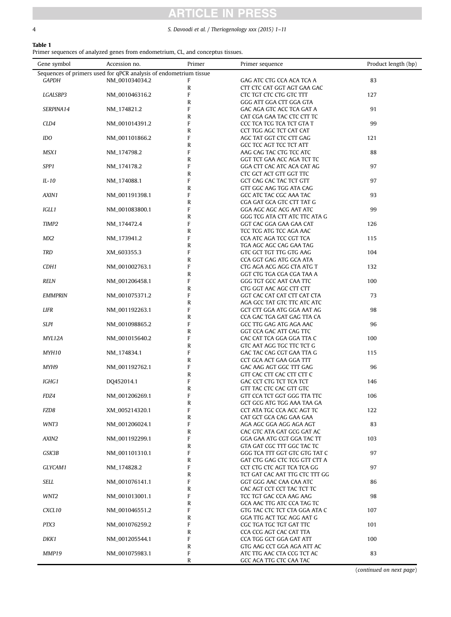$\overline{a}$ 

# **ARTICLE IN PRESS**

# <span id="page-3-0"></span>4 S. Davoodi et al. / Theriogenology xxx (2015) 1–11

# Table 1

Primer sequences of analyzed genes from endometrium, CL, and conceptus tissues.

| Gene symbol                                                       | Accession no.  | Primer | Primer sequence                                       | Product length (bp) |  |  |  |  |
|-------------------------------------------------------------------|----------------|--------|-------------------------------------------------------|---------------------|--|--|--|--|
| Sequences of primers used for qPCR analysis of endometrium tissue |                |        |                                                       |                     |  |  |  |  |
| <b>GAPDH</b>                                                      | NM_001034034.2 | F      | GAG ATC CTG CCA ACA TCA A                             | 83                  |  |  |  |  |
|                                                                   |                | R      | CTT CTC CAT GGT AGT GAA GAC                           |                     |  |  |  |  |
| LGALSBP3                                                          | NM_001046316.2 | F      | CTC TGT CTC CTG GTC TTT                               | 127                 |  |  |  |  |
|                                                                   |                | R      | GGG ATT GGA CTT GGA GTA                               |                     |  |  |  |  |
| SERPINA14                                                         | NM_174821.2    | F      | GAC AGA GTC ACC TCA GAT A                             | 91                  |  |  |  |  |
|                                                                   |                | R      | CAT CGA GAA TAC CTC CTT TC                            |                     |  |  |  |  |
| CLD4                                                              | NM_001014391.2 | F<br>R | CCC TCA TCG TCA TCT GTA T                             | 99                  |  |  |  |  |
| IDO                                                               | NM_001101866.2 | F      | CCT TGG AGC TCT CAT CAT<br>AGC TAT GGT CTC CTT GAG    | 121                 |  |  |  |  |
|                                                                   |                | R      | GCC TCC AGT TCC TCT ATT                               |                     |  |  |  |  |
| MSX1                                                              | NM_174798.2    | F      | AAG CAG TAC CTG TCC ATC                               | 88                  |  |  |  |  |
|                                                                   |                | R      | GGT TCT GAA ACC AGA TCT TC                            |                     |  |  |  |  |
| SPP1                                                              | NM_174178.2    | F      | GGA CTT CAC ATC ACA CAT AG                            | 97                  |  |  |  |  |
|                                                                   |                | R      | CTC GCT ACT GTT GGT TTC                               |                     |  |  |  |  |
| IL-10                                                             | NM_174088.1    | F      | GCT CAG CAC TAC TCT GTT                               | 97                  |  |  |  |  |
|                                                                   |                | R      | GTT GGC AAG TGG ATA CAG                               |                     |  |  |  |  |
| AXIN1                                                             | NM_001191398.1 | F      | GCC ATC TAC CGC AAA TAC                               | 93                  |  |  |  |  |
|                                                                   |                | R      | CGA GAT GCA GTC CTT TAT G                             |                     |  |  |  |  |
| IGLL1                                                             | NM_001083800.1 | F      | GGA AGC AGC ACG AAT ATC                               | 99                  |  |  |  |  |
|                                                                   |                | R      | GGG TCG ATA CTT ATC TTC ATA G                         |                     |  |  |  |  |
| TIMP2                                                             | NM_174472.4    | F      | GGT CAC GGA GAA GAA CAT                               | 126                 |  |  |  |  |
|                                                                   |                | R      | TCC TCG ATG TCC AGA AAC                               |                     |  |  |  |  |
| MX2                                                               | NM_173941.2    | F      | CCA ATC AGA TCC CGT TCA                               | 115                 |  |  |  |  |
| <b>TRD</b>                                                        |                | R<br>F | TGA AGC AGC CAG GAA TAG<br>GTC GCT TGT TTG GTG AAG    | 104                 |  |  |  |  |
|                                                                   | XM_603355.3    | R      | CCA GGT GAG ATG GCA ATA                               |                     |  |  |  |  |
| CDH1                                                              | NM_001002763.1 | F      | CTG AGA ACG AGG CTA ATG T                             | 132                 |  |  |  |  |
|                                                                   |                | R      | GGT CTG TGA CGA CGA TAA A                             |                     |  |  |  |  |
| <b>RELN</b>                                                       | NM_001206458.1 | F      | GGG TGT GCC AAT CAA TTC                               | 100                 |  |  |  |  |
|                                                                   |                | R      | CTG GGT AAC AGC CTT CTT                               |                     |  |  |  |  |
| <b>EMMPRIN</b>                                                    | NM_001075371.2 | F      | GGT CAC CAT CAT CTT CAT CTA                           | 73                  |  |  |  |  |
|                                                                   |                | R      | AGA GCC TAT GTC TTC ATC ATC                           |                     |  |  |  |  |
| LIFR                                                              | NM_001192263.1 | F      | GCT CTT GGA ATG GGA AAT AG                            | 98                  |  |  |  |  |
|                                                                   |                | R      | CCA GAC TGA GAT GAG TTA CA                            |                     |  |  |  |  |
| <b>SLPI</b>                                                       | NM_001098865.2 | F      | GCC TTG GAG ATG AGA AAC                               | 96                  |  |  |  |  |
|                                                                   |                | R      | GGT CCA GAC ATT CAG TTC                               |                     |  |  |  |  |
| MYL12A                                                            | NM_001015640.2 | F      | CAC CAT TCA GGA GGA TTA C                             | 100                 |  |  |  |  |
|                                                                   |                | R      | GTC AAT AGG TGC TTC TCT G                             |                     |  |  |  |  |
| MYH10                                                             | NM_174834.1    | F      | GAC TAC CAG CGT GAA TTA G                             | 115                 |  |  |  |  |
|                                                                   |                | R      | CCT GCA ACT GAA GGA TTT                               |                     |  |  |  |  |
| MYH9                                                              | NM_001192762.1 | F<br>R | GAC AAG AGT GGC TTT GAG                               | 96                  |  |  |  |  |
| IGHG1                                                             | DQ452014.1     | F      | GTT CAC CTT CAC CTT CTT C<br>GAC CCT CTG TCT TCA TCT  | 146                 |  |  |  |  |
|                                                                   |                | R      | GTT TAC CTC CAC GTT GTC                               |                     |  |  |  |  |
| FDZ4                                                              | NM_001206269.1 | F      | GTT CCA TCT GGT GGG TTA TTC                           | 106                 |  |  |  |  |
|                                                                   |                | R      | GCT GCG ATG TGG AAA TAA GA                            |                     |  |  |  |  |
| FZD8                                                              | XM_005214320.1 | F      | CCT ATA TGC CCA ACC AGT TC                            | 122                 |  |  |  |  |
|                                                                   |                | R      | CAT GCT GCA CAG GAA GAA                               |                     |  |  |  |  |
| WNT3                                                              | NM_001206024.1 | F      | AGA AGC GGA AGG AGA AGT                               | 83                  |  |  |  |  |
|                                                                   |                | R      | CAC GTC ATA GAT GCG GAT AC                            |                     |  |  |  |  |
| AXIN2                                                             | NM_001192299.1 | F      | GGA GAA ATG CGT GGA TAC TT                            | 103                 |  |  |  |  |
|                                                                   |                | R      | GTA GAT CGC TTT GGC TAC TC                            |                     |  |  |  |  |
| GSK3B                                                             | NM_001101310.1 | F      | GGG TCA TTT GGT GTC GTG TAT C                         | 97                  |  |  |  |  |
|                                                                   |                | R      | GAT CTG GAG CTC TCG GTT CTT A                         |                     |  |  |  |  |
| GLYCAM1                                                           | NM_174828.2    | F      | CCT CTG CTC AGT TCA TCA GG                            | 97                  |  |  |  |  |
| SELL                                                              |                | R<br>F | TCT GAT CAC AAT TTG CTC TTT GG                        | 86                  |  |  |  |  |
|                                                                   | NM_001076141.1 | R      | GGT GGG AAC CAA CAA ATC<br>CAC AGT CCT CCT TAC TCT TC |                     |  |  |  |  |
| WNT2                                                              | NM_001013001.1 | F      | TCC TGT GAC CCA AAG AAG                               | 98                  |  |  |  |  |
|                                                                   |                | R      | GCA AAC TTG ATC CCA TAG TC                            |                     |  |  |  |  |
| CXCL10                                                            | NM_001046551.2 | F      | GTG TAC CTC TCT CTA GGA ATA C                         | 107                 |  |  |  |  |
|                                                                   |                | R      | GGA TTG ACT TGC AGG AAT G                             |                     |  |  |  |  |
| PTX3                                                              | NM_001076259.2 | F      | CGC TGA TGC TGT GAT TTC                               | 101                 |  |  |  |  |
|                                                                   |                | R      | CCA CCG AGT CAC CAT TTA                               |                     |  |  |  |  |
| DKK1                                                              | NM_001205544.1 | F      | CCA TGG GCT GGA GAT ATT                               | 100                 |  |  |  |  |
|                                                                   |                | R      | GTG AAG CCT GGA AGA ATT AC                            |                     |  |  |  |  |
| MMP19                                                             | NM_001075983.1 | F      | ATC TTG AAC CTA CCG TCT AC                            | 83                  |  |  |  |  |
|                                                                   |                | R      | GCC ACA TTG CTC CAA TAC                               |                     |  |  |  |  |

(continued on next page)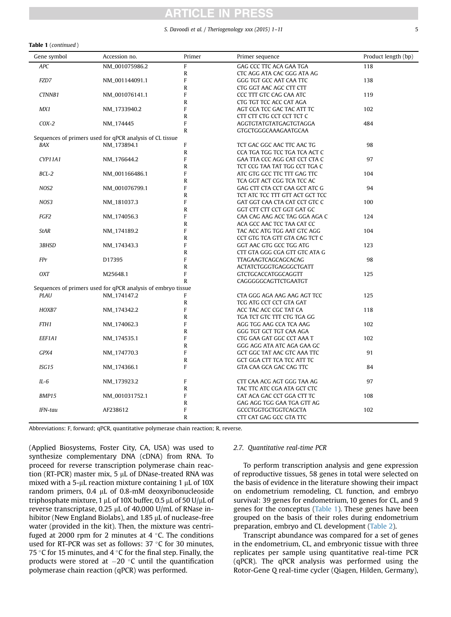# ICI I

## S. Davoodi et al. / Theriogenology xxx (2015) 1-11 5

### Table 1 (continued )

| Gene symbol      | Accession no.                                                | Primer                  | Primer sequence                 | Product length (bp) |
|------------------|--------------------------------------------------------------|-------------------------|---------------------------------|---------------------|
| <b>APC</b>       | NM 001075986.2                                               | $\overline{F}$          | GAG CCC TTC ACA GAA TGA         | 118                 |
|                  |                                                              | $\mathbb{R}$            | CTC AGG ATA CAC GGG ATA AG      |                     |
| FZD7             | NM_001144091.1                                               | $\mathbf{F}$            | GGG TGT GCC AAT CAA TTC         | 138                 |
|                  |                                                              | ${\sf R}$               | CTG GGT AAC AGC CTT CTT         |                     |
| CTNNB1           | NM_001076141.1                                               | F                       | CCC TTT GTC CAG CAA ATC         | 119                 |
|                  |                                                              | $\mathbb{R}$            | CTG TGT TCC ACC CAT AGA         |                     |
| MX1              | NM_1733940.2                                                 | F                       | AGT CCA TCC GAC TAC ATT TC      | 102                 |
|                  |                                                              | $\mathbb{R}$            | CTT CTT CTG CCT CCT TCT C       |                     |
| $COX-2$          | NM_174445                                                    | F                       | AGGTGTATGTATGAGTGTAGGA          | 484                 |
|                  |                                                              | $\mathbb{R}$            | GTGCTGGGCAAAGAATGCAA            |                     |
|                  | Sequences of primers used for qPCR analysis of CL tissue     |                         |                                 |                     |
| <b>BAX</b>       | NM_173894.1                                                  | F                       | TCT GAC GGC AAC TTC AAC TG      | 98                  |
|                  |                                                              | ${\sf R}$               | CCA TGA TGG TCC TGA TCA ACT C   |                     |
| CYP11A1          | NM_176644.2                                                  | F                       | GAA TTA CCC AGG CAT CCT CTA C   | 97                  |
|                  |                                                              | $\overline{\mathsf{R}}$ | TCT CCG TAA TAT TGG CCT TGA C   |                     |
| $BCL-2$          | NM_001166486.1                                               | F                       | ATC GTG GCC TTC TTT GAG TTC     | 104                 |
|                  |                                                              | ${\sf R}$               | TCA GGT ACT CGG TCA TCC AC      |                     |
| NOS2             | NM_001076799.1                                               | F                       | GAG CTT CTA CCT CAA GCT ATC G   | 94                  |
|                  |                                                              | R                       | TCT ATC TCC TTT GTT ACT GCT TCC |                     |
| NOS3             | NM_181037.3                                                  | F                       | GAT GGT CAA CTA CAT CCT GTC C   | 100                 |
|                  |                                                              | R                       | GGT CTT CTT CCT GGT GAT GC      |                     |
| FGF2             | NM_174056.3                                                  | F                       | CAA CAG AAG ACC TAG GGA AGA C   | 124                 |
|                  |                                                              | $\overline{\mathsf{R}}$ | ACA GCC AAC TCC TAA CAT CC      |                     |
| <b>StAR</b>      | NM_174189.2                                                  | F                       | TAC ACC ATG TGG AAT GTC AGG     | 104                 |
|                  |                                                              | R                       | CCT GTG TCA GTT GTA CAG TCT C   |                     |
| 3BHSD            | NM_174343.3                                                  | F                       | GGT AAC GTG GCC TGG ATG         | 123                 |
|                  |                                                              | R                       | CTT GTA GGG CGA GTT GTC ATA G   |                     |
| FPr              | D17395                                                       | F                       | TTAGAAGTCAGCAGCACAG             | 98                  |
|                  |                                                              | $\mathsf{R}$            | ACTATCTGGGTGAGGGCTGATT          |                     |
| <b>OXT</b>       | M25648.1                                                     | F                       | GTCTGCACCATGGCAGGTT             | 125                 |
|                  |                                                              | R                       | CAGGGGCAGTTCTGAATGT             |                     |
|                  | Sequences of primers used for qPCR analysis of embryo tissue |                         |                                 |                     |
| <b>PLAU</b>      | NM_174147.2                                                  | F                       | CTA GGG AGA AAG AAG AGT TCC     | 125                 |
|                  |                                                              | $\mathsf{R}$            | TCG ATG CCT CCT GTA GAT         |                     |
| HOXB7            | NM_174342.2                                                  | F                       | ACC TAC ACC CGC TAT CA          | 118                 |
|                  |                                                              | R                       | TGA TCT GTC TTT CTG TGA GG      |                     |
| FTH <sub>1</sub> | NM_174062.3                                                  | F                       | AGG TGG AAG CCA TCA AAG         | 102                 |
|                  |                                                              | R                       | GGG TGT GCT TGT CAA AGA         |                     |
| EEF1A1           | NM_174535.1                                                  | F                       | CTG GAA GAT GGC CCT AAA T       | 102                 |
|                  |                                                              | R                       | GGG AGG ATA ATC AGA GAA GC      |                     |
| GPX4             | NM_174770.3                                                  | F                       | GCT GGC TAT AAC GTC AAA TTC     | 91                  |
|                  |                                                              | R                       | GCT GGA CTT TCA TCC ATT TC      |                     |
| ISG15            | NM_174366.1                                                  | F                       | GTA CAA GCA GAC CAG TTC         | 84                  |
|                  |                                                              |                         |                                 |                     |
| $IL-6$           | NM_173923.2                                                  | F                       | CTT CAA ACG AGT GGG TAA AG      | 97                  |
|                  |                                                              | R                       | TAC TTC ATC CGA ATA GCT CTC     |                     |
| BMP15            | NM_001031752.1                                               | F                       | CAT ACA GAC CCT GGA CTT TC      | 108                 |
|                  |                                                              | R                       | GAG AGG TGG GAA TGA GTT AG      |                     |
| IFN-tau          | AF238612                                                     | F                       | <b>GCCCTGGTGCTGGTCAGCTA</b>     | 102                 |
|                  |                                                              | R                       | CTT CAT GAG GCC GTA TTC         |                     |
| $\mathbf{r}$     | $n \alpha n$                                                 |                         |                                 |                     |

Abbreviations: F, forward; qPCR, quantitative polymerase chain reaction; R, reverse.

(Applied Biosystems, Foster City, CA, USA) was used to synthesize complementary DNA (cDNA) from RNA. To proceed for reverse transcription polymerase chain reaction (RT-PCR) master mix,  $5 \mu L$  of DNase-treated RNA was mixed with a 5- $\mu$ L reaction mixture containing 1  $\mu$ L of 10X random primers,  $0.4 \mu L$  of  $0.8 \text{-} m$ M deoxyribonucleoside triphosphate mixture, 1 µL of 10X buffer, 0.5 µL of 50 U/µL of reverse transcriptase, 0.25  $\mu$ L of 40,000 U/mL of RNase inhibitor (New England Biolabs), and  $1.85 \mu L$  of nuclease-free water (provided in the kit). Then, the mixture was centrifuged at 2000 rpm for 2 minutes at  $4^{\circ}$ C. The conditions used for RT-PCR was set as follows:  $37 °C$  for 30 minutes, 75 °C for 15 minutes, and 4 °C for the final step. Finally, the products were stored at  $-20$  °C until the quantification polymerase chain reaction (qPCR) was performed.

#### 2.7. Quantitative real-time PCR

To perform transcription analysis and gene expression of reproductive tissues, 58 genes in total were selected on the basis of evidence in the literature showing their impact on endometrium remodeling, CL function, and embryo survival: 39 genes for endometrium, 10 genes for CL, and 9 genes for the conceptus [\(Table 1\)](#page-3-0). These genes have been grouped on the basis of their roles during endometrium preparation, embryo and CL development [\(Table 2](#page-5-0)).

Transcript abundance was compared for a set of genes in the endometrium, CL, and embryonic tissue with three replicates per sample using quantitative real-time PCR (qPCR). The qPCR analysis was performed using the Rotor-Gene Q real-time cycler (Qiagen, Hilden, Germany),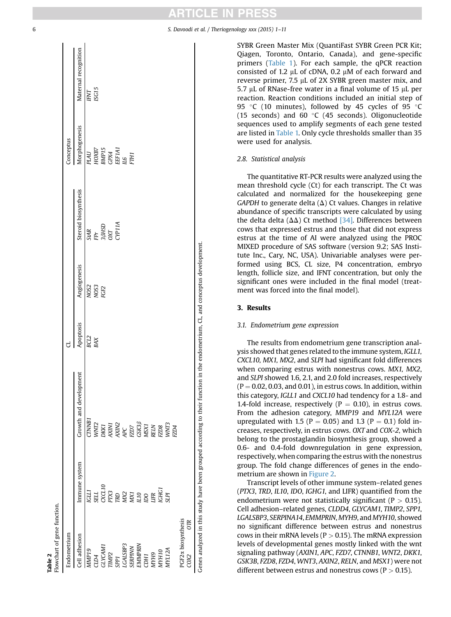<span id="page-5-0"></span>

SYBR Green Master Mix (QuantiFast SYBR Green PCR Kit; Qiagen, Toronto, Ontario, Canada), and gene-specific primers ([Table 1](#page-3-0)). For each sample, the qPCR reaction consisted of 1.2  $\mu$ L of cDNA, 0.2  $\mu$ M of each forward and reverse primer,  $7.5 \mu L$  of 2X SYBR green master mix, and 5.7  $\mu$ L of RNase-free water in a final volume of 15  $\mu$ L per reaction. Reaction conditions included an initial step of 95 °C (10 minutes), followed by 45 cycles of 95 °C (15 seconds) and 60  $\degree$ C (45 seconds). Oligonucleotide sequences used to amplify segments of each gene tested are listed in [Table 1.](#page-3-0) Only cycle thresholds smaller than 35 were used for analysis.

# 2.8. Statistical analysis

The quantitative RT-PCR results were analyzed using the mean threshold cycle (Ct) for each transcript. The Ct was calculated and normalized for the housekeeping gene GAPDH to generate delta  $(\Delta)$  Ct values. Changes in relative abundance of specific transcripts were calculated by using the delta delta ( $\Delta\Delta$ ) Ct method [\[34\]](#page-9-0). Differences between cows that expressed estrus and those that did not express estrus at the time of AI were analyzed using the PROC MIXED procedure of SAS software (version 9.2; SAS Institute Inc., Cary, NC, USA). Univariable analyses were performed using BCS, CL size, P4 concentration, embryo length, follicle size, and IFNT concentration, but only the significant ones were included in the final model (treatment was forced into the final model).

### 3. Results

## 3.1. Endometrium gene expression

The results from endometrium gene transcription analysis showed that genes related to the immune system, IGLL1, CXCL10, MX1, MX2, and SLPI had significant fold differences when comparing estrus with nonestrus cows. MX1, MX2, and SLPI showed 1.6, 2.1, and 2.0 fold increases, respectively  $(P = 0.02, 0.03,$  and 0.01), in estrus cows. In addition, within this category, IGLL1 and CXCL10 had tendency for a 1.8- and 1.4-fold increase, respectively ( $P = 0.10$ ), in estrus cows. From the adhesion category, MMP19 and MYL12A were upregulated with 1.5 ( $P = 0.05$ ) and 1.3 ( $P = 0.1$ ) fold increases, respectively, in estrus cows. OXT and COX-2, which belong to the prostaglandin biosynthesis group, showed a 0.6- and 0.4-fold downregulation in gene expression, respectively, when comparing the estrus with the nonestrus group. The fold change differences of genes in the endometrium are shown in [Figure 2](#page-6-0).

Transcript levels of other immune system–related genes (PTX3, TRD, IL10, IDO, IGHG1, and LIFR) quantified from the endometrium were not statistically significant ( $P > 0.15$ ). Cell adhesion–related genes, CLDD4, GLYCAM1, TIMP2, SPP1, LGALSBP3, SERPINA14, EMMPRIN, MYH9, and MYH10, showed no significant difference between estrus and nonestrus cows in their mRNA levels ( $P > 0.15$ ). The mRNA expression levels of developmental genes mostly linked with the wnt signaling pathway (AXIN1, APC, FZD7, CTNNB1, WNT2, DKK1, GSK3B, FZD8, FZD4, WNT3, AXIN2, RELN, and MSX1) were not different between estrus and nonestrus cows ( $P > 0.15$ ).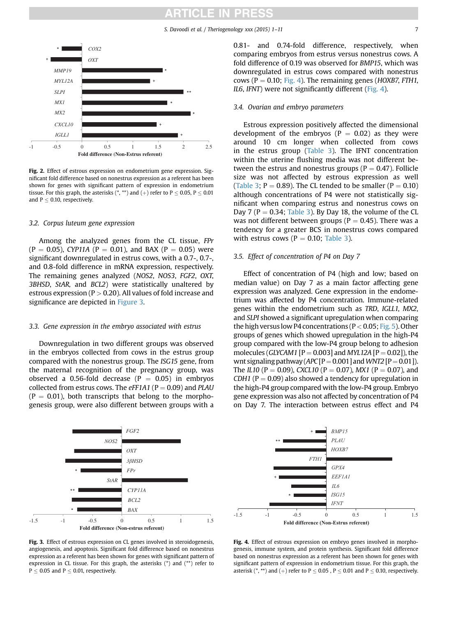S. Davoodi et al. / Theriogenology xxx (2015) 1–11 7

<span id="page-6-0"></span>

Fig. 2. Effect of estrous expression on endometrium gene expression. Significant fold difference based on nonestrus expression as a referent has been shown for genes with significant pattern of expression in endometrium tissue. For this graph, the asterisks  $(*, **)$  and  $(+)$  refer to  $P \le 0.05$ ,  $P \le 0.01$ and  $P < 0.10$ , respectively.

#### 3.2. Corpus luteum gene expression

Among the analyzed genes from the CL tissue, FPr  $(P = 0.05)$ , CYP11A (P = 0.01), and BAX (P = 0.05) were significant downregulated in estrus cows, with a 0.7-, 0.7-, and 0.8-fold difference in mRNA expression, respectively. The remaining genes analyzed (NOS2, NOS3, FGF2, OXT, 3BHSD, StAR, and BCL2) were statistically unaltered by estrous expression ( $P > 0.20$ ). All values of fold increase and significance are depicted in Figure 3.

### 3.3. Gene expression in the embryo associated with estrus

Downregulation in two different groups was observed in the embryos collected from cows in the estrus group compared with the nonestrus group. The ISG15 gene, from the maternal recognition of the pregnancy group, was observed a 0.56-fold decrease ( $P = 0.05$ ) in embryos collected from estrus cows. The  $eFF1A1$  (P = 0.09) and PLAU  $(P = 0.01)$ , both transcripts that belong to the morphogenesis group, were also different between groups with a



Fig. 3. Effect of estrous expression on CL genes involved in steroidogenesis, angiogenesis, and apoptosis. Significant fold difference based on nonestrus expression as a referent has been shown for genes with significant pattern of expression in CL tissue. For this graph, the asterisks (\*) and (\*\*) refer to  $P \le 0.05$  and  $P \le 0.01$ , respectively.

0.81- and 0.74-fold difference, respectively, when comparing embryos from estrus versus nonestrus cows. A fold difference of 0.19 was observed for BMP15, which was downregulated in estrus cows compared with nonestrus cows ( $P = 0.10$ ; Fig. 4). The remaining genes (HOXB7, FTH1, IL6, IFNT) were not significantly different (Fig. 4).

### 3.4. Ovarian and embryo parameters

Estrous expression positively affected the dimensional development of the embryos ( $P = 0.02$ ) as they were around 10 cm longer when collected from cows in the estrus group ([Table 3\)](#page-7-0). The IFNT concentration within the uterine flushing media was not different between the estrus and nonestrus groups ( $P = 0.47$ ). Follicle size was not affected by estrous expression as well ([Table 3](#page-7-0);  $P = 0.89$ ). The CL tended to be smaller ( $P = 0.10$ ) although concentrations of P4 were not statistically significant when comparing estrus and nonestrus cows on Day 7 ( $P = 0.34$ ; [Table 3\)](#page-7-0). By Day 18, the volume of the CL was not different between groups ( $P = 0.45$ ). There was a tendency for a greater BCS in nonestrus cows compared with estrus cows ( $P = 0.10$ ; [Table 3](#page-7-0)).

#### 3.5. Effect of concentration of P4 on Day 7

Effect of concentration of P4 (high and low; based on median value) on Day 7 as a main factor affecting gene expression was analyzed. Gene expression in the endometrium was affected by P4 concentration. Immune-related genes within the endometrium such as TRD, IGLL1, MX2, and SLPI showed a significant upregulation when comparing the high versus low P4 concentrations ( $P < 0.05$ ; [Fig. 5\)](#page-7-0). Other groups of genes which showed upregulation in the high-P4 group compared with the low-P4 group belong to adhesion molecules (*GLYCAM1* [P = 0.003] and *MYL12A* [P = 0.02]), the wnt signaling pathway ( $APC[P=0.001]$  and WNT2 [P = 0.01]). The IL10 (P = 0.09), CXCL10 (P = 0.07), MX1 (P = 0.07), and CDH1 ( $P = 0.09$ ) also showed a tendency for upregulation in the high-P4 group compared with the low-P4 group. Embryo gene expression was also not affected by concentration of P4 on Day 7. The interaction between estrus effect and P4



Fig. 4. Effect of estrous expression on embryo genes involved in morphogenesis, immune system, and protein synthesis. Significant fold difference based on nonestrus expression as a referent has been shown for genes with significant pattern of expression in endometrium tissue. For this graph, the asterisk (\*, \*\*) and (+) refer to P  $\leq$  0.05, P  $\leq$  0.01 and P  $\leq$  0.10, respectively.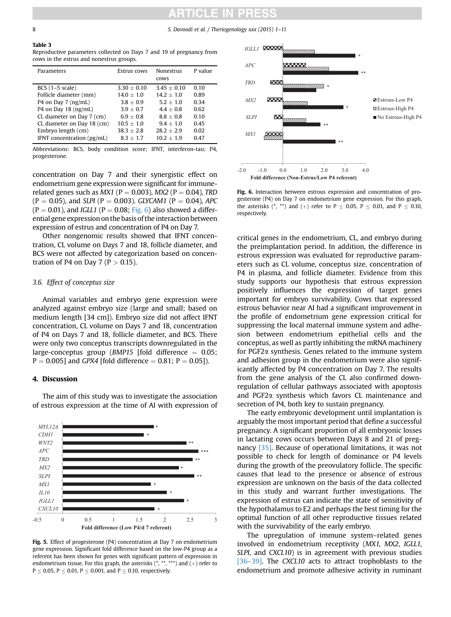# C LI

<span id="page-7-0"></span>8 S. Davoodi et al. / Theriogenology xxx (2015) 1–11

# Table 3

Reproductive parameters collected on Days 7 and 19 of pregnancy from cows in the estrus and nonestrus groups.

| Estrus cows   | Nonestrus<br><b>COWS</b> | P value |
|---------------|--------------------------|---------|
| $3.30 + 0.10$ | $3.45 + 0.10$            | 0.10    |
| $14.0 + 1.0$  | $14.2 + 1.0$             | 0.89    |
| $3.8 + 0.9$   | $52 + 10$                | 0.34    |
| $3.9 + 0.7$   | $44 + 08$                | 0.62    |
| $69 + 08$     | $88 + 0.8$               | 0.10    |
| $10.5 + 1.0$  | $9.4 + 1.0$              | 0.45    |
| $38.3 + 2.8$  | $28.2 + 2.9$             | 0.02    |
| $8.3 + 1.7$   | $10.2 + 1.9$             | 0.47    |
|               |                          |         |

Abbreviations: BCS, body condition score; IFNT, interferon-tau; P4, progesterone.

concentration on Day 7 and their synergistic effect on endometrium gene expression were significant for immunerelated genes such as  $MX1$  (P = 0.003),  $MX2$  (P = 0.04), TRD  $(P = 0.05)$ , and SLPI (P = 0.003). GLYCAM1 (P = 0.04), APC  $(P = 0.01)$ , and *IGLL1* ( $P = 0.08$ ; Fig. 6) also showed a differential gene expression on the basis of the interaction between expression of estrus and concentration of P4 on Day 7.

Other nongenomic results showed that IFNT concentration, CL volume on Days 7 and 18, follicle diameter, and BCS were not affected by categorization based on concentration of P4 on Day 7 ( $P > 0.15$ ).

### 3.6. Effect of conceptus size

Animal variables and embryo gene expression were analyzed against embryo size (large and small; based on medium length [34 cm]). Embryo size did not affect IFNT concentration, CL volume on Days 7 and 18, concentration of P4 on Days 7 and 18, follicle diameter, and BCS. There were only two conceptus transcripts downregulated in the large-conceptus group (BMP15 [fold difference  $= 0.05$ ;  $P = 0.005$ ] and GPX4 [fold difference  $= 0.81$ ; P  $= 0.05$ ]).

#### 4. Discussion



The aim of this study was to investigate the association of estrous expression at the time of AI with expression of

Fig. 5. Effect of progesterone (P4) concentration at Day 7 on endometrium gene expression. Significant fold difference based on the low-P4 group as a referent has been shown for genes with significant pattern of expression in endometrium tissue. For this graph, the asterisks  $(*, **, ***)$  and  $(+)$  refer to  $P \le 0.05$ ,  $P \le 0.01$ ,  $P \le 0.001$ , and  $P \le 0.10$ , respectively.



Fig. 6. Interaction between estrous expression and concentration of progesterone (P4) on Day 7 on endometrium gene expression. For this graph, the asterisks  $(*, **)$  and  $(+)$  refer to  $P \le 0.05$ ,  $P \le 0.01$ , and  $P \le 0.10$ , respectively.

critical genes in the endometrium, CL, and embryo during the preimplantation period. In addition, the difference in estrous expression was evaluated for reproductive parameters such as CL volume, conceptus size, concentration of P4 in plasma, and follicle diameter. Evidence from this study supports our hypothesis that estrous expression positively influences the expression of target genes important for embryo survivability. Cows that expressed estrous behavior near AI had a significant improvement in the profile of endometrium gene expression critical for suppressing the local maternal immune system and adhesion between endometrium epithelial cells and the conceptus, as well as partly inhibiting the mRNA machinery for PGF2a synthesis. Genes related to the immune system and adhesion group in the endometrium were also significantly affected by P4 concentration on Day 7. The results from the gene analysis of the CL also confirmed downregulation of cellular pathways associated with apoptosis and PGF2a synthesis which favors CL maintenance and secretion of P4, both key to sustain pregnancy.

The early embryonic development until implantation is arguably the most important period that define a successful pregnancy. A significant proportion of all embryonic losses in lactating cows occurs between Days 8 and 21 of pregnancy [\[35\]](#page-9-0). Because of operational limitations, it was not possible to check for length of dominance or P4 levels during the growth of the preovulatory follicle. The specific causes that lead to the presence or absence of estrous expression are unknown on the basis of the data collected in this study and warrant further investigations. The expression of estrus can indicate the state of sensitivity of the hypothalamus to E2 and perhaps the best timing for the optimal function of all other reproductive tissues related with the survivability of the early embryo.

The upregulation of immune system–related genes involved in endometrium receptivity (MX1, MX2, IGLL1, SLPI, and CXCL10) is in agreement with previous studies [36–[39\].](#page-10-0) The CXCL10 acts to attract trophoblasts to the endometrium and promote adhesive activity in ruminant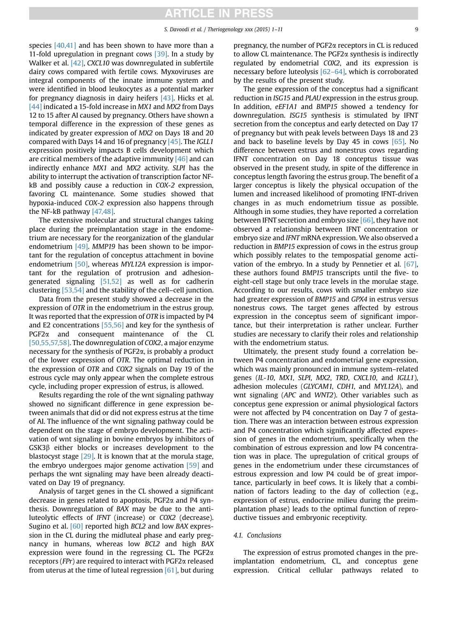species [\[40,41\]](#page-10-0) and has been shown to have more than a 11-fold upregulation in pregnant cows [\[39\]](#page-10-0). In a study by Walker et al. [\[42\]](#page-10-0), CXCL10 was downregulated in subfertile dairy cows compared with fertile cows. Myxoviruses are integral components of the innate immune system and were identified in blood leukocytes as a potential marker for pregnancy diagnosis in dairy heifers [\[43\].](#page-10-0) Hicks et al. [\[44\]](#page-10-0) indicated a 15-fold increase in MX1 and MX2 from Days 12 to 15 after AI caused by pregnancy. Others have shown a temporal difference in the expression of these genes as indicated by greater expression of MX2 on Days 18 and 20 compared with Days 14 and 16 of pregnancy  $[45]$ . The *IGLL1* expression positively impacts B cells development which are critical members of the adaptive immunity  $[46]$  and can indirectly enhance MX1 and MX2 activity. SLPI has the ability to interrupt the activation of transcription factor NFkB and possibly cause a reduction in COX-2 expression, favoring CL maintenance. Some studies showed that hypoxia-induced COX-2 expression also happens through the NF-kB pathway [\[47,48\]](#page-10-0).

The extensive molecular and structural changes taking place during the preimplantation stage in the endometrium are necessary for the reorganization of the glandular endometrium [\[49\]](#page-10-0). MMP19 has been shown to be important for the regulation of conceptus attachment in bovine endometrium [\[50\]](#page-10-0), whereas MYL12A expression is important for the regulation of protrusion and adhesiongenerated signaling [\[51,52\]](#page-10-0) as well as for cadherin clustering [\[53,54\]](#page-10-0) and the stability of the cell–cell junction.

Data from the present study showed a decrease in the expression of OTR in the endometrium in the estrus group. It was reported that the expression of OTR is impacted by P4 and E2 concentrations [\[55,56\]](#page-10-0) and key for the synthesis of PGF2 $\alpha$  and consequent maintenance of the CL [\[50,55,57,58\]](#page-10-0). The downregulation of COX2, a major enzyme necessary for the synthesis of PGF2a, is probably a product of the lower expression of OTR. The optimal reduction in the expression of OTR and COX2 signals on Day 19 of the estrous cycle may only appear when the complete estrous cycle, including proper expression of estrus, is allowed.

Results regarding the role of the wnt signaling pathway showed no significant difference in gene expression between animals that did or did not express estrus at the time of AI. The influence of the wnt signaling pathway could be dependent on the stage of embryo development. The activation of wnt signaling in bovine embryos by inhibitors of  $GSK3\beta$  either blocks or increases development to the blastocyst stage [\[29\]](#page-9-0). It is known that at the morula stage, the embryo undergoes major genome activation [\[59\]](#page-10-0) and perhaps the wnt signaling may have been already deactivated on Day 19 of pregnancy.

Analysis of target genes in the CL showed a significant decrease in genes related to apoptosis, PGF2a and P4 synthesis. Downregulation of BAX may be due to the antiluteolytic effects of IFNT (increase) or COX2 (decrease). Sugino et al. [\[60\]](#page-10-0) reported high BCL2 and low BAX expression in the CL during the midluteal phase and early pregnancy in humans, whereas low BCL2 and high BAX expression were found in the regressing CL. The  $PGF2\alpha$ receptors (FPr) are required to interact with PGF2a released from uterus at the time of luteal regression  $[61]$ , but during pregnancy, the number of PGF2a receptors in CL is reduced to allow CL maintenance. The PGF2a synthesis is indirectly regulated by endometrial COX2, and its expression is necessary before luteolysis [62–[64\]](#page-10-0), which is corroborated by the results of the present study.

The gene expression of the conceptus had a significant reduction in ISG15 and PLAU expression in the estrus group. In addition, eEF1A1 and BMP15 showed a tendency for downregulation. ISG15 synthesis is stimulated by IFNT secretion from the conceptus and early detected on Day 17 of pregnancy but with peak levels between Days 18 and 23 and back to baseline levels by Day 45 in cows  $[65]$ . No difference between estrus and nonestrus cows regarding IFNT concentration on Day 18 conceptus tissue was observed in the present study, in spite of the difference in conceptus length favoring the estrus group. The benefit of a larger conceptus is likely the physical occupation of the lumen and increased likelihood of promoting IFNT-driven changes in as much endometrium tissue as possible. Although in some studies, they have reported a correlation between IFNT secretion and embryo size [\[66\],](#page-10-0) they have not observed a relationship between IFNT concentration or embryo size and IFNT mRNA expression. We also observed a reduction in BMP15 expression of cows in the estrus group which possibly relates to the tempospatial genome activation of the embryo. In a study by Pennetier et al. [\[67\]](#page-10-0), these authors found BMP15 transcripts until the five- to eight-cell stage but only trace levels in the morulae stage. According to our results, cows with smaller embryo size had greater expression of BMP15 and GPX4 in estrus versus nonestrus cows. The target genes affected by estrous expression in the conceptus seem of significant importance, but their interpretation is rather unclear. Further studies are necessary to clarify their roles and relationship with the endometrium status.

Ultimately, the present study found a correlation between P4 concentration and endometrial gene expression, which was mainly pronounced in immune system–related genes (IL-10, MX1, SLPI, MX2, TRD, CXCL10, and IGLL1), adhesion molecules (GLYCAM1, CDH1, and MYL12A), and wnt signaling (APC and WNT2). Other variables such as conceptus gene expression or animal physiological factors were not affected by P4 concentration on Day 7 of gestation. There was an interaction between estrous expression and P4 concentration which significantly affected expression of genes in the endometrium, specifically when the combination of estrous expression and low P4 concentration was in place. The upregulation of critical groups of genes in the endometrium under these circumstances of estrous expression and low P4 could be of great importance, particularly in beef cows. It is likely that a combination of factors leading to the day of collection (e.g., expression of estrus, endocrine milieu during the preimplantation phase) leads to the optimal function of reproductive tissues and embryonic receptivity.

#### 4.1. Conclusions

The expression of estrus promoted changes in the preimplantation endometrium, CL, and conceptus gene expression. Critical cellular pathways related to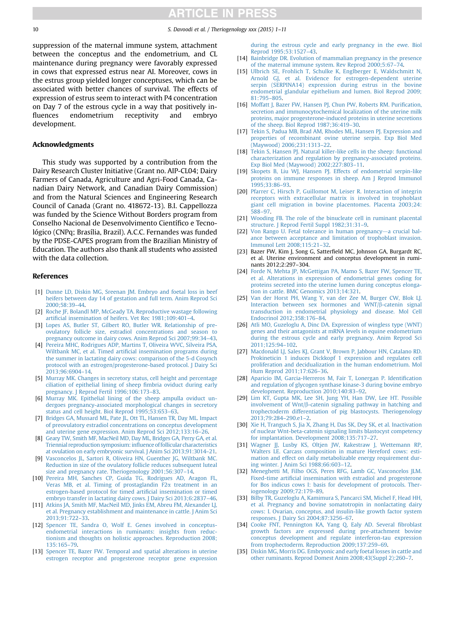<span id="page-9-0"></span>10 S. Davoodi et al. / Theriogenology xxx (2015) 1–11

suppression of the maternal immune system, attachment between the conceptus and the endometrium, and CL maintenance during pregnancy were favorably expressed in cows that expressed estrus near AI. Moreover, cows in the estrus group yielded longer conceptuses, which can be associated with better chances of survival. The effects of expression of estrus seem to interact with P4 concentration on Day 7 of the estrous cycle in a way that positively influences endometrium receptivity and embryo development.

#### Acknowledgments

This study was supported by a contribution from the Dairy Research Cluster Initiative (Grant no. AIP-CL04; Dairy Farmers of Canada, Agriculture and Agri-Food Canada, Canadian Dairy Network, and Canadian Dairy Commission) and from the Natural Sciences and Engineering Research Council of Canada (Grant no. 418672-13). B.I. Cappellozza was funded by the Science Without Borders program from Conselho Nacional de Desenvolvimento Científico e Tecnológico (CNPq; Brasília, Brazil). A.C.C. Fernandes was funded by the PDSE-CAPES program from the Brazilian Ministry of Education. The authors also thank all students who assisted with the data collection.

### References

- [1] [Dunne LD, Diskin MG, Sreenan JM. Embryo and foetal loss in beef](http://refhub.elsevier.com/S0093-691X(15)00544-0/sref1) [heifers between day 14 of gestation and full term. Anim Reprod Sci](http://refhub.elsevier.com/S0093-691X(15)00544-0/sref1) [2000;58:39](http://refhub.elsevier.com/S0093-691X(15)00544-0/sref1)–44.
- [2] [Roche JF, Bolandl MP, McGeady TA. Reproductive wastage following](http://refhub.elsevier.com/S0093-691X(15)00544-0/sref2) artifi[cial insemination of heifers. Vet Rec 1981;109:401](http://refhub.elsevier.com/S0093-691X(15)00544-0/sref2)–4.
- [3] [Lopes AS, Butler ST, Gilbert RO, Butler WR. Relationship of pre](http://refhub.elsevier.com/S0093-691X(15)00544-0/sref3)[ovulatory follicle size, estradiol concentrations and season to](http://refhub.elsevier.com/S0093-691X(15)00544-0/sref3) [pregnancy outcome in dairy cows. Anim Reprod Sci 2007;99:34](http://refhub.elsevier.com/S0093-691X(15)00544-0/sref3)–43.
- [4] [Pereira MHC, Rodrigues ADP, Martins T, Oliveira WVC, Silveira PSA,](http://refhub.elsevier.com/S0093-691X(15)00544-0/sref4) Wiltbank MC, et al. Timed artifi[cial insemination programs during](http://refhub.elsevier.com/S0093-691X(15)00544-0/sref4) [the summer in lactating dairy cows: comparison of the 5-d Cosynch](http://refhub.elsevier.com/S0093-691X(15)00544-0/sref4) [protocol with an estrogen/progesterone-based protocol. J Dairy Sci](http://refhub.elsevier.com/S0093-691X(15)00544-0/sref4) [2013;96:6904](http://refhub.elsevier.com/S0093-691X(15)00544-0/sref4)–14.
- [5] [Murray MK. Changes in secretory status, cell height and percentage](http://refhub.elsevier.com/S0093-691X(15)00544-0/sref5) [ciliation of epithelial lining of sheep](http://refhub.elsevier.com/S0093-691X(15)00544-0/sref5) fimbria oviduct during early [pregnancy. J Reprod Fertil 1996;106:173](http://refhub.elsevier.com/S0093-691X(15)00544-0/sref5)–83.
- [6] [Murray MK. Epithelial lining of the sheep ampulla oviduct un](http://refhub.elsevier.com/S0093-691X(15)00544-0/sref6)[dergoes pregnancy-associated morphological changes in secretory](http://refhub.elsevier.com/S0093-691X(15)00544-0/sref6) [status and cell height. Biol Reprod 1995;53:653](http://refhub.elsevier.com/S0093-691X(15)00544-0/sref6)–63.
- [7] [Bridges GA, Mussard ML, Pate JL, Ott TL, Hansen TR, Day ML. Impact](http://refhub.elsevier.com/S0093-691X(15)00544-0/sref7) [of preovulatory estradiol concentrations on conceptus development](http://refhub.elsevier.com/S0093-691X(15)00544-0/sref7) [and uterine gene expression. Anim Reprod Sci 2012;133:16](http://refhub.elsevier.com/S0093-691X(15)00544-0/sref7)–26.
- [8] [Geary TW, Smith MF, MacNeil MD, Day ML, Bridges GA, Perry GA, et al.](http://refhub.elsevier.com/S0093-691X(15)00544-0/sref8) [Triennial reproduction symposium:in](http://refhub.elsevier.com/S0093-691X(15)00544-0/sref8)fluence of follicular characteristics [at ovulation on early embryonic survival. J Anim Sci 2013;91:3014](http://refhub.elsevier.com/S0093-691X(15)00544-0/sref8)–21.
- [Vasconcelos JL, Sartori R, Oliveira HN, Guenther JG, Wiltbank MC.](http://refhub.elsevier.com/S0093-691X(15)00544-0/sref9) [Reduction in size of the ovulatory follicle reduces subsequent luteal](http://refhub.elsevier.com/S0093-691X(15)00544-0/sref9) [size and pregnancy rate. Theriogenology 2001;56:307](http://refhub.elsevier.com/S0093-691X(15)00544-0/sref9)–14.
- [10] [Pereira MH, Sanches CP, Guida TG, Rodrigues AD, Aragon FL,](http://refhub.elsevier.com/S0093-691X(15)00544-0/sref10) [Veras MB, et al. Timing of prostaglandin F2](http://refhub.elsevier.com/S0093-691X(15)00544-0/sref10)a treatment in an [estrogen-based protocol for timed arti](http://refhub.elsevier.com/S0093-691X(15)00544-0/sref10)ficial insemination or timed [embryo transfer in lactating dairy cows. J Dairy Sci 2013;6:2837](http://refhub.elsevier.com/S0093-691X(15)00544-0/sref10)–46.
- [11] [Atkins JA, Smith MF, MacNeil MD, Jinks EM, Abreu FM, Alexander LJ,](http://refhub.elsevier.com/S0093-691X(15)00544-0/sref11) [et al. Pregnancy establishment and maintenance in cattle. J Anim Sci](http://refhub.elsevier.com/S0093-691X(15)00544-0/sref11) [2013;91:722](http://refhub.elsevier.com/S0093-691X(15)00544-0/sref11)–33.
- [12] [Spencer TE, Sandra O, Wolf E. Genes involved in conceptus](http://refhub.elsevier.com/S0093-691X(15)00544-0/sref12)[endometrial interactions in ruminants: insights from reduc](http://refhub.elsevier.com/S0093-691X(15)00544-0/sref12)[tionism and thoughts on holistic approaches. Reproduction 2008;](http://refhub.elsevier.com/S0093-691X(15)00544-0/sref12) [135:165](http://refhub.elsevier.com/S0093-691X(15)00544-0/sref12)–79.
- [13] [Spencer TE, Bazer FW. Temporal and spatial alterations in uterine](http://refhub.elsevier.com/S0093-691X(15)00544-0/sref13) [estrogen receptor and progesterone receptor gene expression](http://refhub.elsevier.com/S0093-691X(15)00544-0/sref13)

[during the estrous cycle and early pregnancy in the ewe. Biol](http://refhub.elsevier.com/S0093-691X(15)00544-0/sref13) [Reprod 1995;53:1527](http://refhub.elsevier.com/S0093-691X(15)00544-0/sref13)–43.

- [14] [Bainbridge DR. Evolution of mammalian pregnancy in the presence](http://refhub.elsevier.com/S0093-691X(15)00544-0/sref14) [of the maternal immune system. Rev Reprod 2000;5:67](http://refhub.elsevier.com/S0093-691X(15)00544-0/sref14)–74.
- [15] [Ulbrich SE, Frohlich T, Schulke K, Englberger E, Waldschmitt N,](http://refhub.elsevier.com/S0093-691X(15)00544-0/sref15) [Arnold GJ, et al. Evidence for estrogen-dependent uterine](http://refhub.elsevier.com/S0093-691X(15)00544-0/sref15) [serpin \(SERPINA14\) expression during estrus in the bovine](http://refhub.elsevier.com/S0093-691X(15)00544-0/sref15) [endometrial glandular epithelium and lumen. Biol Reprod 2009;](http://refhub.elsevier.com/S0093-691X(15)00544-0/sref15) [81:795](http://refhub.elsevier.com/S0093-691X(15)00544-0/sref15)–805.
- [16] [Moffatt J, Bazer FW, Hansen PJ, Chun PW, Roberts RM. Puri](http://refhub.elsevier.com/S0093-691X(15)00544-0/sref16)fication, [secretion and immunocytochemical localization of the uterine milk](http://refhub.elsevier.com/S0093-691X(15)00544-0/sref16) [proteins, major progesterone-induced proteins in uterine secretions](http://refhub.elsevier.com/S0093-691X(15)00544-0/sref16) [of the sheep. Biol Reprod 1987;36:419](http://refhub.elsevier.com/S0093-691X(15)00544-0/sref16)–30.
- [17] [Tekin S, Padua MB, Brad AM, Rhodes ML, Hansen PJ. Expression and](http://refhub.elsevier.com/S0093-691X(15)00544-0/sref17) [properties of recombinant ovine uterine serpin. Exp Biol Med](http://refhub.elsevier.com/S0093-691X(15)00544-0/sref17) [\(Maywood\) 2006;231:1313](http://refhub.elsevier.com/S0093-691X(15)00544-0/sref17)–22.
- [18] [Tekin S, Hansen PJ. Natural killer-like cells in the sheep: functional](http://refhub.elsevier.com/S0093-691X(15)00544-0/sref18) [characterization and regulation by pregnancy-associated proteins.](http://refhub.elsevier.com/S0093-691X(15)00544-0/sref18) [Exp Biol Med \(Maywood\) 2002;227:803](http://refhub.elsevier.com/S0093-691X(15)00544-0/sref18)–11.
- [19] [Skopets B, Liu WJ, Hansen PJ. Effects of endometrial serpin-like](http://refhub.elsevier.com/S0093-691X(15)00544-0/sref19) [proteins on immune responses in sheep. Am J Reprod Immunol](http://refhub.elsevier.com/S0093-691X(15)00544-0/sref19) [1995;33:86](http://refhub.elsevier.com/S0093-691X(15)00544-0/sref19)–93.
- [20] [Pfarrer C, Hirsch P, Guillomot M, Leiser R. Interaction of integrin](http://refhub.elsevier.com/S0093-691X(15)00544-0/sref20) [receptors with extracellular matrix is involved in trophoblast](http://refhub.elsevier.com/S0093-691X(15)00544-0/sref20) [giant cell migration in bovine placentomes. Placenta 2003;24:](http://refhub.elsevier.com/S0093-691X(15)00544-0/sref20) [588](http://refhub.elsevier.com/S0093-691X(15)00544-0/sref20)–97.
- [21] [Wooding FB. The role of the binucleate cell in ruminant placental](http://refhub.elsevier.com/S0093-691X(15)00544-0/sref21) [structure. J Reprod Fertil Suppl 1982;31:31](http://refhub.elsevier.com/S0093-691X(15)00544-0/sref21)–9.
- [22] [Von Rango U. Fetal tolerance in human pregnancy](http://refhub.elsevier.com/S0093-691X(15)00544-0/sref22)-[a crucial bal](http://refhub.elsevier.com/S0093-691X(15)00544-0/sref22)[ance between acceptance and limitation of trophoblast invasion.](http://refhub.elsevier.com/S0093-691X(15)00544-0/sref22) [Immunol Lett 2008;115:21](http://refhub.elsevier.com/S0093-691X(15)00544-0/sref22)–32.
- [23] Bazer FW, Kim J, Song G, Satterfield MC, Johnson GA, Burgardt RC, et al. Uterine environment and conceptus development in ruminants 2012;2:297–304.
- [24] [Forde N, Mehta JP, McGettigan PA, Mamo S, Bazer FW, Spencer TE,](http://refhub.elsevier.com/S0093-691X(15)00544-0/sref24) [et al. Alterations in expression of endometrial genes coding for](http://refhub.elsevier.com/S0093-691X(15)00544-0/sref24) [proteins secreted into the uterine lumen during conceptus elonga](http://refhub.elsevier.com/S0093-691X(15)00544-0/sref24)[tion in cattle. BMC Genomics 2013;14:321](http://refhub.elsevier.com/S0093-691X(15)00544-0/sref24).
- [25] [Van der Horst PH, Wang Y, van der Zee M, Burger CW, Blok LJ.](http://refhub.elsevier.com/S0093-691X(15)00544-0/sref25) [Interaction between sex hormones and WNT/](http://refhub.elsevier.com/S0093-691X(15)00544-0/sref25)B-catenin signal [transduction in endometrial physiology and disease. Mol Cell](http://refhub.elsevier.com/S0093-691X(15)00544-0/sref25) [Endocrinol 2012;358:176](http://refhub.elsevier.com/S0093-691X(15)00544-0/sref25)–84.
- [26] [Atli MO, Guzeloglu A, Dinc DA. Expression of wingless type \(WNT\)](http://refhub.elsevier.com/S0093-691X(15)00544-0/sref26) [genes and their antagonists at mRNA levels in equine endometrium](http://refhub.elsevier.com/S0093-691X(15)00544-0/sref26) [during the estrous cycle and early pregnancy. Anim Reprod Sci](http://refhub.elsevier.com/S0093-691X(15)00544-0/sref26) [2011;125:94](http://refhub.elsevier.com/S0093-691X(15)00544-0/sref26)–102.
- [27] [Macdonald LJ, Sales KJ, Grant V, Brown P, Jabbour HN, Catalano RD.](http://refhub.elsevier.com/S0093-691X(15)00544-0/sref27) [Prokineticin 1 induces Dickkopf 1 expression and regulates cell](http://refhub.elsevier.com/S0093-691X(15)00544-0/sref27) [proliferation and decidualization in the human endometrium. Mol](http://refhub.elsevier.com/S0093-691X(15)00544-0/sref27) [Hum Reprod 2011;17:626](http://refhub.elsevier.com/S0093-691X(15)00544-0/sref27)–36.
- [28] [Aparicio IM, Garcia-Herreros M, Fair T, Lonergan P. Identi](http://refhub.elsevier.com/S0093-691X(15)00544-0/sref28)fication [and regulation of glycogen synthase kinase-3 during bovine embryo](http://refhub.elsevier.com/S0093-691X(15)00544-0/sref28) [development. Reproduction 2010;140:83](http://refhub.elsevier.com/S0093-691X(15)00544-0/sref28)–92.
- [29] [Lim KT, Gupta MK, Lee SH, Jung YH, Han DW, Lee HT. Possible](http://refhub.elsevier.com/S0093-691X(15)00544-0/sref29) involvement of Wnt/ $\beta$ [-catenin signaling pathway in hatching and](http://refhub.elsevier.com/S0093-691X(15)00544-0/sref29) [trophectoderm differentiation of pig blastocysts. Theriogenology](http://refhub.elsevier.com/S0093-691X(15)00544-0/sref29) [2013;79:284](http://refhub.elsevier.com/S0093-691X(15)00544-0/sref29)–290.e1–2.
- [30] [Xie H, Tranguch S, Jia X, Zhang H, Das SK, Dey SK, et al. Inactivation](http://refhub.elsevier.com/S0093-691X(15)00544-0/sref30) [of nuclear Wnt-beta-catenin signaling limits blastocyst competency](http://refhub.elsevier.com/S0093-691X(15)00544-0/sref30) [for implantation. Development 2008;135:717](http://refhub.elsevier.com/S0093-691X(15)00544-0/sref30)–27.
- [31] [Wagner JJ, Lusby KS, Oltjen JW, Rakestraw J, Wettemann RP,](http://refhub.elsevier.com/S0093-691X(15)00544-0/sref31) [Walters LE. Carcass composition in mature Hereford cows: esti](http://refhub.elsevier.com/S0093-691X(15)00544-0/sref31)[mation and effect on daily metabolizable energy requirement dur](http://refhub.elsevier.com/S0093-691X(15)00544-0/sref31)[ing winter. J Anim Sci 1988;66:603](http://refhub.elsevier.com/S0093-691X(15)00544-0/sref31)–12.
- [32] [Meneghetti M, Filho OGS, Peres RFG, Lamb GC, Vasconcelos JLM.](http://refhub.elsevier.com/S0093-691X(15)00544-0/sref32) Fixed-time artifi[cial insemination with estradiol and progesterone](http://refhub.elsevier.com/S0093-691X(15)00544-0/sref32) [for Bos indicus cows I: basis for development of protocols. Ther](http://refhub.elsevier.com/S0093-691X(15)00544-0/sref32)[iogenology 2009;72:179](http://refhub.elsevier.com/S0093-691X(15)00544-0/sref32)–89.
- [33] [Bilby TR, Guzeloglu A, Kamimura S, Pancarci SM, Michel F, Head HH,](http://refhub.elsevier.com/S0093-691X(15)00544-0/sref33) [et al. Pregnancy and bovine somatotropin in nonlactating dairy](http://refhub.elsevier.com/S0093-691X(15)00544-0/sref33) [cows: I. Ovarian, conceptus, and insulin-like growth factor system](http://refhub.elsevier.com/S0093-691X(15)00544-0/sref33) [responses. J Dairy Sci 2004;87:3256](http://refhub.elsevier.com/S0093-691X(15)00544-0/sref33)–67.
- [34] [Cooke FNT, Pennington KA, Yang Q, Ealy AD. Several](http://refhub.elsevier.com/S0093-691X(15)00544-0/sref34) fibroblast [growth factors are expressed during pre-attachment bovine](http://refhub.elsevier.com/S0093-691X(15)00544-0/sref34) [conceptus development and regulate interferon-tau expression](http://refhub.elsevier.com/S0093-691X(15)00544-0/sref34) [from trophectoderm. Reproduction 2009;137:259](http://refhub.elsevier.com/S0093-691X(15)00544-0/sref34)–69.
- [35] [Diskin MG, Morris DG. Embryonic and early foetal losses in cattle and](http://refhub.elsevier.com/S0093-691X(15)00544-0/sref35) [other ruminants. Reprod Domest Anim 2008;43\(Suppl 2\):260](http://refhub.elsevier.com/S0093-691X(15)00544-0/sref35)–7.